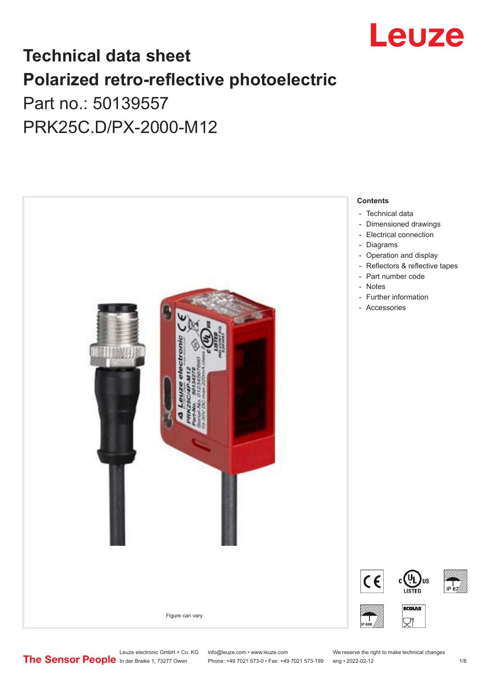

## **Technical data sheet Polarized retro-reflective photoelectric**  Part no.: 50139557

PRK25C.D/PX-2000-M12



Phone: +49 7021 573-0 • Fax: +49 7021 573-199 eng • 2022-02-12 12

Leuze electronic GmbH + Co. KG info@leuze.com • www.leuze.com We reserve the right to make technical changes<br> **The Sensor People** in der Braike 1, 73277 Owen Phone: +49 7021 573-0 • Fax: +49 7021 573-199 eng • 2022-02-12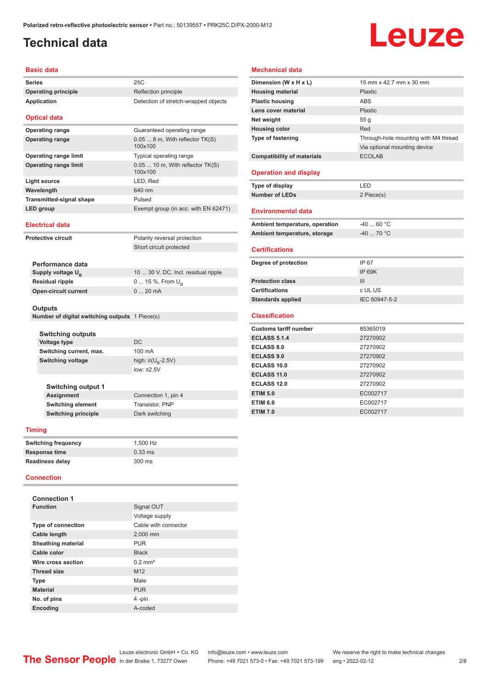## <span id="page-1-0"></span>**Technical data**

# Leuze

#### **Basic data**

| <b>Series</b>                                  | 25C                                         |  |
|------------------------------------------------|---------------------------------------------|--|
| <b>Operating principle</b>                     | Reflection principle                        |  |
| <b>Application</b>                             | Detection of stretch-wrapped objects        |  |
| <b>Optical data</b>                            |                                             |  |
| <b>Operating range</b>                         | Guaranteed operating range                  |  |
| <b>Operating range</b>                         | 0.05  8 m, With reflector TK(S)<br>100x100  |  |
| <b>Operating range limit</b>                   | Typical operating range                     |  |
| <b>Operating range limit</b>                   | $0.0510$ m, With reflector TK(S)<br>100x100 |  |
| <b>Light source</b>                            | LED, Red                                    |  |
| Wavelength                                     | 640 nm                                      |  |
| <b>Transmitted-signal shape</b>                | Pulsed                                      |  |
| <b>LED</b> group                               | Exempt group (in acc. with EN 62471)        |  |
| <b>Electrical data</b>                         |                                             |  |
| <b>Protective circuit</b>                      | Polarity reversal protection                |  |
|                                                | Short circuit protected                     |  |
| Performance data                               |                                             |  |
| Supply voltage U <sub>B</sub>                  | 10  30 V, DC, Incl. residual ripple         |  |
| <b>Residual ripple</b>                         | 0  15 %, From $U_{\rm B}$                   |  |
| <b>Open-circuit current</b>                    | 020mA                                       |  |
| <b>Outputs</b>                                 |                                             |  |
| Number of digital switching outputs 1 Piece(s) |                                             |  |
|                                                |                                             |  |
| <b>Switching outputs</b>                       |                                             |  |
| Voltage type                                   | DC                                          |  |
| Switching current, max.                        | 100 mA                                      |  |

#### **Switching output 1 Connection 1, pin 4 Switching element** Transistor, PNP **Switching principle** Dark switching

#### **Timing**

| <b>Switching frequency</b> | 1.500 Hz  |
|----------------------------|-----------|
| <b>Response time</b>       | $0.33$ ms |
| <b>Readiness delay</b>     | 300 ms    |

low: ≤2.5V

#### **Connection**

| <b>Connection 1</b>       |                       |
|---------------------------|-----------------------|
| <b>Function</b>           | Signal OUT            |
|                           | Voltage supply        |
| <b>Type of connection</b> | Cable with connector  |
| Cable length              | 2,000 mm              |
| <b>Sheathing material</b> | <b>PUR</b>            |
| Cable color               | <b>Black</b>          |
| Wire cross section        | $0.2$ mm <sup>2</sup> |
| <b>Thread size</b>        | M <sub>12</sub>       |
| <b>Type</b>               | Male                  |
| <b>Material</b>           | <b>PUR</b>            |
| No. of pins               | 4-pin                 |
| <b>Encoding</b>           | A-coded               |

#### **Mechanical data**

| Dimension (W x H x L)             | 15 mm x 42.7 mm x 30 mm              |
|-----------------------------------|--------------------------------------|
| <b>Housing material</b>           | Plastic                              |
| <b>Plastic housing</b>            | <b>ABS</b>                           |
| Lens cover material               | <b>Plastic</b>                       |
| Net weight                        | 55q                                  |
| <b>Housing color</b>              | Red                                  |
| Type of fastening                 | Through-hole mounting with M4 thread |
|                                   | Via optional mounting device         |
| <b>Compatibility of materials</b> | <b>ECOLAB</b>                        |
| <b>Operation and display</b>      |                                      |
| Type of display                   | LED                                  |
| <b>Number of LEDs</b>             | 2 Piece(s)                           |
| <b>Environmental data</b>         |                                      |
| Ambient temperature, operation    | $-40$ 60 °C                          |
| Ambient temperature, storage      | $-40$ 70 °C                          |
| <b>Certifications</b>             |                                      |
| Degree of protection              | IP 67                                |
|                                   | IP 69K                               |
| <b>Protection class</b>           | III                                  |
| <b>Certifications</b>             | c UL US                              |
| <b>Standards applied</b>          | IEC 60947-5-2                        |
| <b>Classification</b>             |                                      |
| <b>Customs tariff number</b>      | 85365019                             |
| <b>ECLASS 5.1.4</b>               | 27270902                             |
| <b>ECLASS 8.0</b>                 | 27270902                             |
| <b>ECLASS 9.0</b>                 | 27270902                             |
| <b>ECLASS 10.0</b>                | 27270902                             |
| ECLASS 11.0                       | 27270902                             |
| <b>ECLASS 12.0</b>                | 27270902                             |
| <b>ETIM 5.0</b>                   | EC002717                             |
| <b>ETIM 6.0</b>                   | EC002717                             |
| <b>ETIM 7.0</b>                   | EC002717                             |
|                                   |                                      |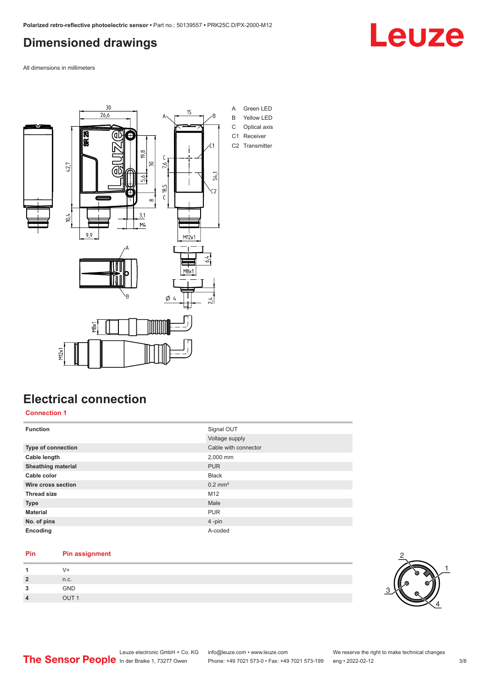### <span id="page-2-0"></span>**Dimensioned drawings**

All dimensions in millimeters



### **Electrical connection**

**Connection 1**

| <b>Function</b>           | Signal OUT<br>Voltage supply |
|---------------------------|------------------------------|
| Type of connection        | Cable with connector         |
| Cable length              | 2,000 mm                     |
| <b>Sheathing material</b> | <b>PUR</b>                   |
| Cable color               | <b>Black</b>                 |
| Wire cross section        | $0.2$ mm <sup>2</sup>        |
| <b>Thread size</b>        | M12                          |
| <b>Type</b>               | Male                         |
| <b>Material</b>           | <b>PUR</b>                   |
| No. of pins               | $4$ -pin                     |
| Encoding                  | A-coded                      |

#### **Pin Pin assignment**

|    | $V +$ |  |
|----|-------|--|
| כי | n.c.  |  |
| ີ  | GND   |  |
|    | OIII1 |  |



Leuze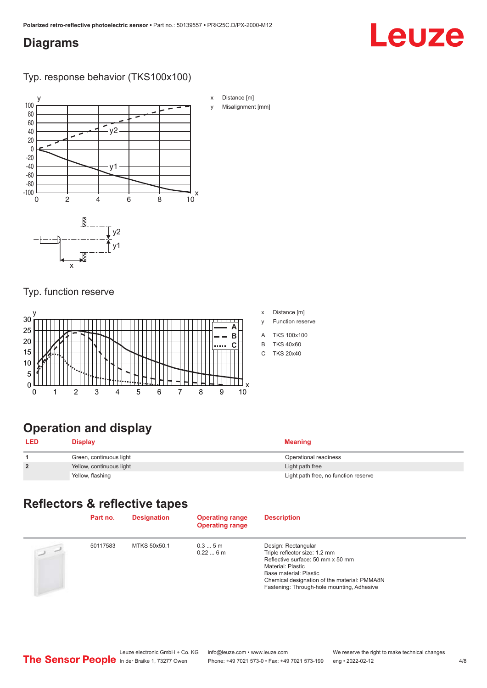#### <span id="page-3-0"></span>**Diagrams**

## Leuze

Typ. response behavior (TKS100x100)



#### Typ. function reserve



| x | Distance [m] |  |  |
|---|--------------|--|--|
|   |              |  |  |

- y Function reserve
- A TKS 100x100
- B TKS 40x60
- C TKS 20x40

## **Operation and display**

| <b>LED</b>     | <b>Display</b>           | Meaning                              |
|----------------|--------------------------|--------------------------------------|
|                | Green, continuous light  | Operational readiness                |
| $\overline{2}$ | Yellow, continuous light | Light path free                      |
|                | Yellow, flashing         | Light path free, no function reserve |

#### **Reflectors & reflective tapes**

|                | Part no. | <b>Designation</b> | <b>Operating range</b><br><b>Operating range</b> | <b>Description</b>                                                                                                                                                                                                                     |
|----------------|----------|--------------------|--------------------------------------------------|----------------------------------------------------------------------------------------------------------------------------------------------------------------------------------------------------------------------------------------|
| $\overline{2}$ | 50117583 | MTKS 50x50.1       | 0.35m<br>0.226m                                  | Design: Rectangular<br>Triple reflector size: 1.2 mm<br>Reflective surface: 50 mm x 50 mm<br>Material: Plastic<br>Base material: Plastic<br>Chemical designation of the material: PMMA8N<br>Fastening: Through-hole mounting, Adhesive |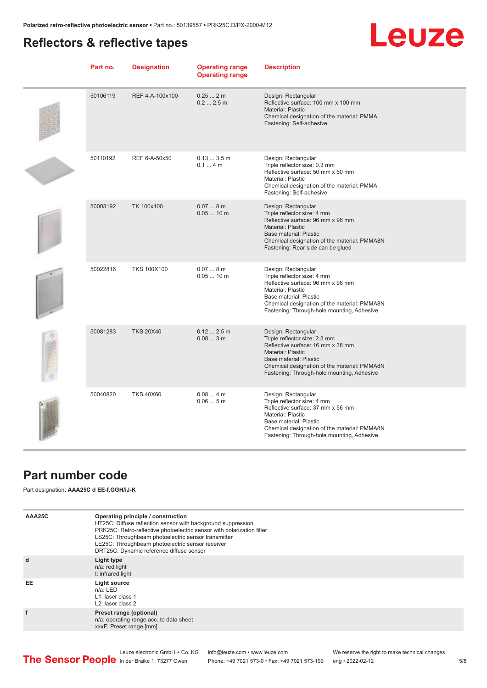### <span id="page-4-0"></span>**Reflectors & reflective tapes**

## **Leuze**

| Part no. | <b>Designation</b> | <b>Operating range</b><br><b>Operating range</b> | <b>Description</b>                                                                                                                                                                                                                          |
|----------|--------------------|--------------------------------------------------|---------------------------------------------------------------------------------------------------------------------------------------------------------------------------------------------------------------------------------------------|
| 50106119 | REF 4-A-100x100    | 0.252m<br>0.22.5m                                | Design: Rectangular<br>Reflective surface: 100 mm x 100 mm<br>Material: Plastic<br>Chemical designation of the material: PMMA<br>Fastening: Self-adhesive                                                                                   |
| 50110192 | REF 6-A-50x50      | 0.133.5m<br>0.14m                                | Design: Rectangular<br>Triple reflector size: 0.3 mm<br>Reflective surface: 50 mm x 50 mm<br>Material: Plastic<br>Chemical designation of the material: PMMA<br>Fastening: Self-adhesive                                                    |
| 50003192 | TK 100x100         | 0.078m<br>$0.0510$ m                             | Design: Rectangular<br>Triple reflector size: 4 mm<br>Reflective surface: 96 mm x 96 mm<br>Material: Plastic<br>Base material: Plastic<br>Chemical designation of the material: PMMA8N<br>Fastening: Rear side can be glued                 |
| 50022816 | <b>TKS 100X100</b> | 0.078m<br>$0.0510$ m                             | Design: Rectangular<br>Triple reflector size: 4 mm<br>Reflective surface: 96 mm x 96 mm<br>Material: Plastic<br>Base material: Plastic<br>Chemical designation of the material: PMMA8N<br>Fastening: Through-hole mounting, Adhesive        |
| 50081283 | <b>TKS 20X40</b>   | 0.122.5m<br>0.083m                               | Design: Rectangular<br>Triple reflector size: 2.3 mm<br>Reflective surface: 16 mm x 38 mm<br>Material: Plastic<br>Base material: Plastic<br>Chemical designation of the material: PMMA8N<br>Fastening: Through-hole mounting, Adhesive      |
| 50040820 | <b>TKS 40X60</b>   | 0.084m<br>0.065m                                 | Design: Rectangular<br>Triple reflector size: 4 mm<br>Reflective surface: 37 mm x 56 mm<br><b>Material: Plastic</b><br>Base material: Plastic<br>Chemical designation of the material: PMMA8N<br>Fastening: Through-hole mounting, Adhesive |

#### **Part number code**

Part designation: **AAA25C d EE-f.GGH/iJ-K**

| AAA25C | Operating principle / construction<br>HT25C: Diffuse reflection sensor with background suppression<br>PRK25C: Retro-reflective photoelectric sensor with polarization filter<br>LS25C: Throughbeam photoelectric sensor transmitter<br>LE25C: Throughbeam photoelectric sensor receiver<br>DRT25C: Dynamic reference diffuse sensor |
|--------|-------------------------------------------------------------------------------------------------------------------------------------------------------------------------------------------------------------------------------------------------------------------------------------------------------------------------------------|
| d      | Light type<br>n/a: red light<br>I: infrared light                                                                                                                                                                                                                                                                                   |
| EE     | Light source<br>$n/a$ : LED<br>L1: laser class 1<br>L <sub>2</sub> : laser class 2                                                                                                                                                                                                                                                  |
|        | Preset range (optional)<br>n/a: operating range acc. to data sheet<br>xxxF: Preset range [mm]                                                                                                                                                                                                                                       |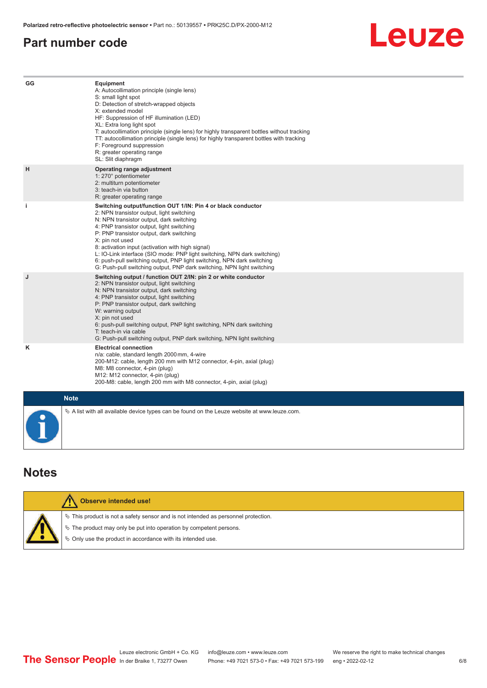#### <span id="page-5-0"></span>**Part number code**

## Leuze

| GG        | Equipment<br>A: Autocollimation principle (single lens)<br>S: small light spot<br>D: Detection of stretch-wrapped objects<br>X: extended model<br>HF: Suppression of HF illumination (LED)<br>XL: Extra long light spot<br>T: autocollimation principle (single lens) for highly transparent bottles without tracking<br>TT: autocollimation principle (single lens) for highly transparent bottles with tracking<br>F: Foreground suppression<br>R: greater operating range<br>SL: Slit diaphragm                                                     |
|-----------|--------------------------------------------------------------------------------------------------------------------------------------------------------------------------------------------------------------------------------------------------------------------------------------------------------------------------------------------------------------------------------------------------------------------------------------------------------------------------------------------------------------------------------------------------------|
| H         | Operating range adjustment<br>1: 270° potentiometer<br>2: multiturn potentiometer<br>3: teach-in via button<br>R: greater operating range                                                                                                                                                                                                                                                                                                                                                                                                              |
| j.        | Switching output/function OUT 1/IN: Pin 4 or black conductor<br>2: NPN transistor output, light switching<br>N: NPN transistor output, dark switching<br>4: PNP transistor output, light switching<br>P: PNP transistor output, dark switching<br>X: pin not used<br>8: activation input (activation with high signal)<br>L: IO-Link interface (SIO mode: PNP light switching, NPN dark switching)<br>6: push-pull switching output, PNP light switching, NPN dark switching<br>G: Push-pull switching output, PNP dark switching, NPN light switching |
| J         | Switching output / function OUT 2/IN: pin 2 or white conductor<br>2: NPN transistor output, light switching<br>N: NPN transistor output, dark switching<br>4: PNP transistor output, light switching<br>P: PNP transistor output, dark switching<br>W: warning output<br>X: pin not used<br>6: push-pull switching output, PNP light switching, NPN dark switching<br>T: teach-in via cable<br>G: Push-pull switching output, PNP dark switching, NPN light switching                                                                                  |
| ĸ         | <b>Electrical connection</b><br>n/a: cable, standard length 2000 mm, 4-wire<br>200-M12: cable, length 200 mm with M12 connector, 4-pin, axial (plug)<br>M8: M8 connector, 4-pin (plug)<br>M12: M12 connector, 4-pin (plug)<br>200-M8: cable, length 200 mm with M8 connector, 4-pin, axial (plug)                                                                                                                                                                                                                                                      |
|           | <b>Note</b>                                                                                                                                                                                                                                                                                                                                                                                                                                                                                                                                            |
| $\bullet$ | $\&$ A list with all available device types can be found on the Leuze website at www.leuze.com.                                                                                                                                                                                                                                                                                                                                                                                                                                                        |

#### **Notes**

| Observe intended use!                                                                                                                                                                                                         |
|-------------------------------------------------------------------------------------------------------------------------------------------------------------------------------------------------------------------------------|
| $\%$ This product is not a safety sensor and is not intended as personnel protection.<br>$\%$ The product may only be put into operation by competent persons.<br>♦ Only use the product in accordance with its intended use. |
|                                                                                                                                                                                                                               |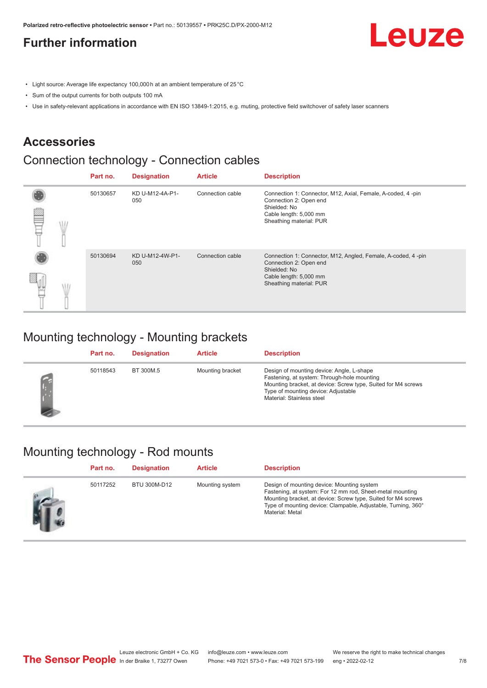### <span id="page-6-0"></span>**Further information**

Leuze

- Light source: Average life expectancy 100,000 h at an ambient temperature of 25 °C
- Sum of the output currents for both outputs 100 mA
- Use in safety-relevant applications in accordance with EN ISO 13849-1:2015, e.g. muting, protective field switchover of safety laser scanners

#### **Accessories**

### Connection technology - Connection cables

|   | Part no. | <b>Designation</b>     | <b>Article</b>   | <b>Description</b>                                                                                                                                          |
|---|----------|------------------------|------------------|-------------------------------------------------------------------------------------------------------------------------------------------------------------|
| œ | 50130657 | KD U-M12-4A-P1-<br>050 | Connection cable | Connection 1: Connector, M12, Axial, Female, A-coded, 4-pin<br>Connection 2: Open end<br>Shielded: No<br>Cable length: 5,000 mm<br>Sheathing material: PUR  |
|   | 50130694 | KD U-M12-4W-P1-<br>050 | Connection cable | Connection 1: Connector, M12, Angled, Female, A-coded, 4-pin<br>Connection 2: Open end<br>Shielded: No<br>Cable length: 5,000 mm<br>Sheathing material: PUR |

#### Mounting technology - Mounting brackets

| Part no. | <b>Designation</b> | <b>Article</b>   | <b>Description</b>                                                                                                                                                                                                            |
|----------|--------------------|------------------|-------------------------------------------------------------------------------------------------------------------------------------------------------------------------------------------------------------------------------|
| 50118543 | BT 300M.5          | Mounting bracket | Design of mounting device: Angle, L-shape<br>Fastening, at system: Through-hole mounting<br>Mounting bracket, at device: Screw type, Suited for M4 screws<br>Type of mounting device: Adjustable<br>Material: Stainless steel |

#### Mounting technology - Rod mounts

| Part no. | <b>Designation</b> | <b>Article</b>  | <b>Description</b>                                                                                                                                                                                                                                           |
|----------|--------------------|-----------------|--------------------------------------------------------------------------------------------------------------------------------------------------------------------------------------------------------------------------------------------------------------|
| 50117252 | BTU 300M-D12       | Mounting system | Design of mounting device: Mounting system<br>Fastening, at system: For 12 mm rod, Sheet-metal mounting<br>Mounting bracket, at device: Screw type, Suited for M4 screws<br>Type of mounting device: Clampable, Adjustable, Turning, 360°<br>Material: Metal |